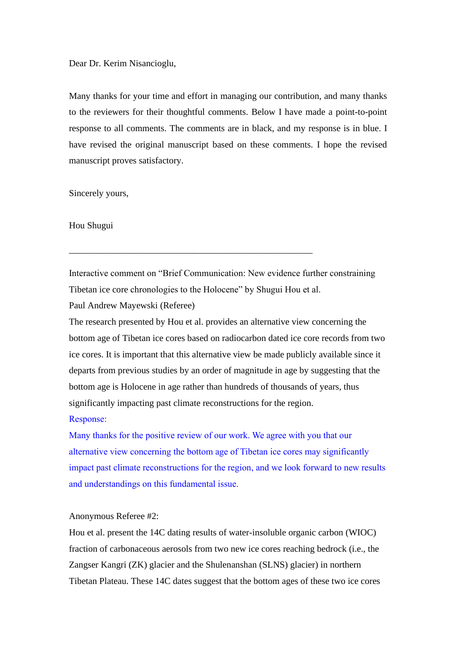Dear Dr. Kerim Nisancioglu,

Many thanks for your time and effort in managing our contribution, and many thanks to the reviewers for their thoughtful comments. Below I have made a point-to-point response to all comments. The comments are in black, and my response is in blue. I have revised the original manuscript based on these comments. I hope the revised manuscript proves satisfactory.

Sincerely yours,

Hou Shugui

Interactive comment on "Brief Communication: New evidence further constraining Tibetan ice core chronologies to the Holocene" by Shugui Hou et al.

\_\_\_\_\_\_\_\_\_\_\_\_\_\_\_\_\_\_\_\_\_\_\_\_\_\_\_\_\_\_\_\_\_\_\_\_\_\_\_\_\_\_\_\_\_\_\_\_\_\_\_\_\_

Paul Andrew Mayewski (Referee)

The research presented by Hou et al. provides an alternative view concerning the bottom age of Tibetan ice cores based on radiocarbon dated ice core records from two ice cores. It is important that this alternative view be made publicly available since it departs from previous studies by an order of magnitude in age by suggesting that the bottom age is Holocene in age rather than hundreds of thousands of years, thus significantly impacting past climate reconstructions for the region. Response:

Many thanks for the positive review of our work. We agree with you that our alternative view concerning the bottom age of Tibetan ice cores may significantly impact past climate reconstructions for the region, and we look forward to new results and understandings on this fundamental issue.

## Anonymous Referee #2:

Hou et al. present the 14C dating results of water-insoluble organic carbon (WIOC) fraction of carbonaceous aerosols from two new ice cores reaching bedrock (i.e., the Zangser Kangri (ZK) glacier and the Shulenanshan (SLNS) glacier) in northern Tibetan Plateau. These 14C dates suggest that the bottom ages of these two ice cores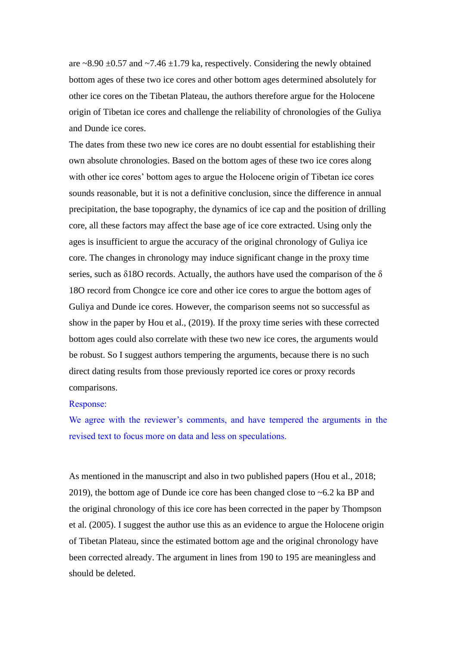are  $\approx$  8.90  $\pm$ 0.57 and  $\approx$  7.46  $\pm$ 1.79 ka, respectively. Considering the newly obtained bottom ages of these two ice cores and other bottom ages determined absolutely for other ice cores on the Tibetan Plateau, the authors therefore argue for the Holocene origin of Tibetan ice cores and challenge the reliability of chronologies of the Guliya and Dunde ice cores.

The dates from these two new ice cores are no doubt essential for establishing their own absolute chronologies. Based on the bottom ages of these two ice cores along with other ice cores' bottom ages to argue the Holocene origin of Tibetan ice cores sounds reasonable, but it is not a definitive conclusion, since the difference in annual precipitation, the base topography, the dynamics of ice cap and the position of drilling core, all these factors may affect the base age of ice core extracted. Using only the ages is insufficient to argue the accuracy of the original chronology of Guliya ice core. The changes in chronology may induce significant change in the proxy time series, such as  $\delta$ 18O records. Actually, the authors have used the comparison of the  $\delta$ 18O record from Chongce ice core and other ice cores to argue the bottom ages of Guliya and Dunde ice cores. However, the comparison seems not so successful as show in the paper by Hou et al., (2019). If the proxy time series with these corrected bottom ages could also correlate with these two new ice cores, the arguments would be robust. So I suggest authors tempering the arguments, because there is no such direct dating results from those previously reported ice cores or proxy records comparisons.

### Response:

We agree with the reviewer's comments, and have tempered the arguments in the revised text to focus more on data and less on speculations.

As mentioned in the manuscript and also in two published papers (Hou et al., 2018; 2019), the bottom age of Dunde ice core has been changed close to ~6.2 ka BP and the original chronology of this ice core has been corrected in the paper by Thompson et al. (2005). I suggest the author use this as an evidence to argue the Holocene origin of Tibetan Plateau, since the estimated bottom age and the original chronology have been corrected already. The argument in lines from 190 to 195 are meaningless and should be deleted.